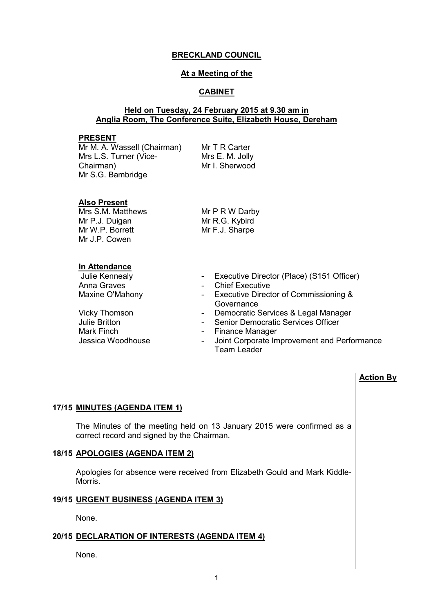# **BRECKLAND COUNCIL**

### **At a Meeting of the**

# **CABINET**

# **Held on Tuesday, 24 February 2015 at 9.30 am in Anglia Room, The Conference Suite, Elizabeth House, Dereham**

#### **PRESENT**

Mr M. A. Wassell (Chairman) Mrs L.S. Turner (Vice-Chairman) Mr S.G. Bambridge

Mr T R Carter Mrs E. M. Jolly Mr I. Sherwood

# **Also Present**

Mrs S.M. Matthews Mr P.J. Duigan Mr W.P. Borrett Mr J.P. Cowen

Mr P R W Darby Mr R.G. Kybird Mr F.J. Sharpe

# **In Attendance**

Julie Britton **- Senior Democratic Services Officer**<br>Mark Finch **- Finance Manager** Mark Finch<br>
Jessica Woodhouse<br>
Joint Corporate In

- Julie Kennealy  **Executive Director (Place) (S151 Officer)**<br>Anna Graves  **Chief Executive** 
	- Chief Executive
- Maxine O'Mahony  **Executive Director of Commissioning & Governance**
- Vicky Thomson Democratic Services & Legal Manager
	-
	-
	- Joint Corporate Improvement and Performance Team Leader

#### **Action By**

#### **17/15 MINUTES (AGENDA ITEM 1)**

 The Minutes of the meeting held on 13 January 2015 were confirmed as a correct record and signed by the Chairman.

# **18/15 APOLOGIES (AGENDA ITEM 2)**

 Apologies for absence were received from Elizabeth Gould and Mark Kiddle-Morris.

#### **19/15 URGENT BUSINESS (AGENDA ITEM 3)**

None.

#### **20/15 DECLARATION OF INTERESTS (AGENDA ITEM 4)**

None.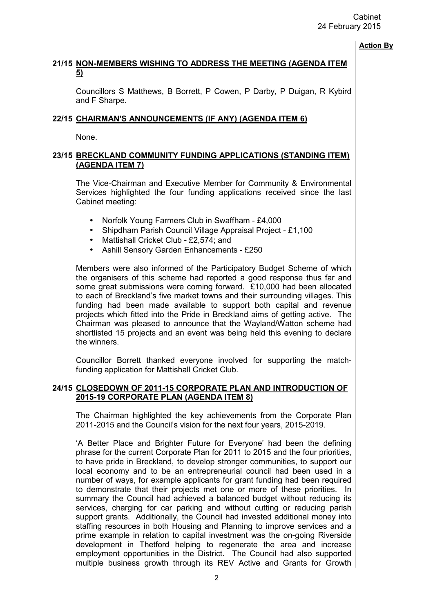# **21/15 NON-MEMBERS WISHING TO ADDRESS THE MEETING (AGENDA ITEM 5)**

 Councillors S Matthews, B Borrett, P Cowen, P Darby, P Duigan, R Kybird and F Sharpe.

# **22/15 CHAIRMAN'S ANNOUNCEMENTS (IF ANY) (AGENDA ITEM 6)**

None.

# **23/15 BRECKLAND COMMUNITY FUNDING APPLICATIONS (STANDING ITEM) (AGENDA ITEM 7)**

 The Vice-Chairman and Executive Member for Community & Environmental Services highlighted the four funding applications received since the last Cabinet meeting:

- Norfolk Young Farmers Club in Swaffham £4,000
- Shipdham Parish Council Village Appraisal Project £1,100
- Mattishall Cricket Club £2,574; and
- Ashill Sensory Garden Enhancements £250

Members were also informed of the Participatory Budget Scheme of which the organisers of this scheme had reported a good response thus far and some great submissions were coming forward. £10,000 had been allocated to each of Breckland's five market towns and their surrounding villages. This funding had been made available to support both capital and revenue projects which fitted into the Pride in Breckland aims of getting active. The Chairman was pleased to announce that the Wayland/Watton scheme had shortlisted 15 projects and an event was being held this evening to declare the winners.

Councillor Borrett thanked everyone involved for supporting the matchfunding application for Mattishall Cricket Club.

# **24/15 CLOSEDOWN OF 2011-15 CORPORATE PLAN AND INTRODUCTION OF 2015-19 CORPORATE PLAN (AGENDA ITEM 8)**

 The Chairman highlighted the key achievements from the Corporate Plan 2011-2015 and the Council's vision for the next four years, 2015-2019.

'A Better Place and Brighter Future for Everyone' had been the defining phrase for the current Corporate Plan for 2011 to 2015 and the four priorities, to have pride in Breckland, to develop stronger communities, to support our local economy and to be an entrepreneurial council had been used in a number of ways, for example applicants for grant funding had been required to demonstrate that their projects met one or more of these priorities. In summary the Council had achieved a balanced budget without reducing its services, charging for car parking and without cutting or reducing parish support grants. Additionally, the Council had invested additional money into staffing resources in both Housing and Planning to improve services and a prime example in relation to capital investment was the on-going Riverside development in Thetford helping to regenerate the area and increase employment opportunities in the District. The Council had also supported multiple business growth through its REV Active and Grants for Growth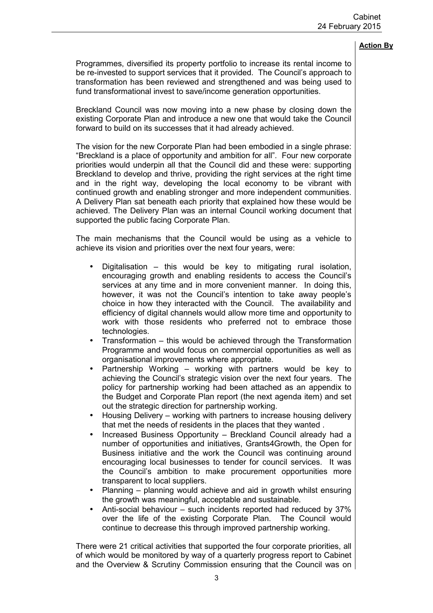Programmes, diversified its property portfolio to increase its rental income to be re-invested to support services that it provided. The Council's approach to transformation has been reviewed and strengthened and was being used to fund transformational invest to save/income generation opportunities.

Breckland Council was now moving into a new phase by closing down the existing Corporate Plan and introduce a new one that would take the Council forward to build on its successes that it had already achieved.

The vision for the new Corporate Plan had been embodied in a single phrase: "Breckland is a place of opportunity and ambition for all". Four new corporate priorities would underpin all that the Council did and these were: supporting Breckland to develop and thrive, providing the right services at the right time and in the right way, developing the local economy to be vibrant with continued growth and enabling stronger and more independent communities. A Delivery Plan sat beneath each priority that explained how these would be achieved. The Delivery Plan was an internal Council working document that supported the public facing Corporate Plan.

The main mechanisms that the Council would be using as a vehicle to achieve its vision and priorities over the next four years, were:

- Digitalisation this would be key to mitigating rural isolation, encouraging growth and enabling residents to access the Council's services at any time and in more convenient manner. In doing this, however, it was not the Council's intention to take away people's choice in how they interacted with the Council. The availability and efficiency of digital channels would allow more time and opportunity to work with those residents who preferred not to embrace those technologies.
- Transformation this would be achieved through the Transformation Programme and would focus on commercial opportunities as well as organisational improvements where appropriate.
- Partnership Working working with partners would be key to achieving the Council's strategic vision over the next four years. The policy for partnership working had been attached as an appendix to the Budget and Corporate Plan report (the next agenda item) and set out the strategic direction for partnership working.
- Housing Delivery working with partners to increase housing delivery that met the needs of residents in the places that they wanted .
- Increased Business Opportunity Breckland Council already had a number of opportunities and initiatives, Grants4Growth, the Open for Business initiative and the work the Council was continuing around encouraging local businesses to tender for council services. It was the Council's ambition to make procurement opportunities more transparent to local suppliers.
- Planning planning would achieve and aid in growth whilst ensuring the growth was meaningful, acceptable and sustainable.
- Anti-social behaviour such incidents reported had reduced by 37% over the life of the existing Corporate Plan. The Council would continue to decrease this through improved partnership working.

There were 21 critical activities that supported the four corporate priorities, all of which would be monitored by way of a quarterly progress report to Cabinet and the Overview & Scrutiny Commission ensuring that the Council was on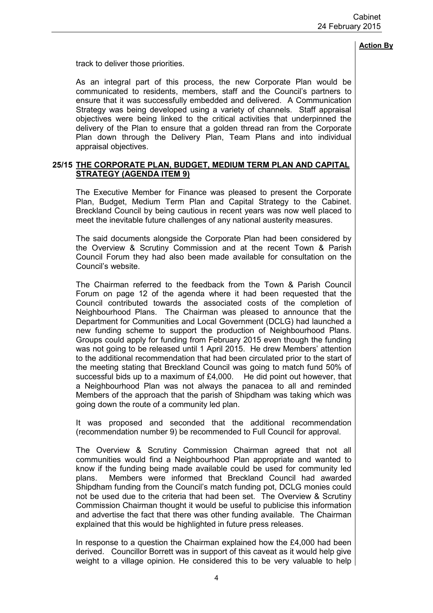track to deliver those priorities.

As an integral part of this process, the new Corporate Plan would be communicated to residents, members, staff and the Council's partners to ensure that it was successfully embedded and delivered. A Communication Strategy was being developed using a variety of channels. Staff appraisal objectives were being linked to the critical activities that underpinned the delivery of the Plan to ensure that a golden thread ran from the Corporate Plan down through the Delivery Plan, Team Plans and into individual appraisal objectives.

# **25/15 THE CORPORATE PLAN, BUDGET, MEDIUM TERM PLAN AND CAPITAL STRATEGY (AGENDA ITEM 9)**

 The Executive Member for Finance was pleased to present the Corporate Plan, Budget, Medium Term Plan and Capital Strategy to the Cabinet. Breckland Council by being cautious in recent years was now well placed to meet the inevitable future challenges of any national austerity measures.

The said documents alongside the Corporate Plan had been considered by the Overview & Scrutiny Commission and at the recent Town & Parish Council Forum they had also been made available for consultation on the Council's website.

The Chairman referred to the feedback from the Town & Parish Council Forum on page 12 of the agenda where it had been requested that the Council contributed towards the associated costs of the completion of Neighbourhood Plans. The Chairman was pleased to announce that the Department for Communities and Local Government (DCLG) had launched a new funding scheme to support the production of Neighbourhood Plans. Groups could apply for funding from February 2015 even though the funding was not going to be released until 1 April 2015. He drew Members' attention to the additional recommendation that had been circulated prior to the start of the meeting stating that Breckland Council was going to match fund 50% of successful bids up to a maximum of £4,000. He did point out however, that a Neighbourhood Plan was not always the panacea to all and reminded Members of the approach that the parish of Shipdham was taking which was going down the route of a community led plan.

It was proposed and seconded that the additional recommendation (recommendation number 9) be recommended to Full Council for approval.

The Overview & Scrutiny Commission Chairman agreed that not all communities would find a Neighbourhood Plan appropriate and wanted to know if the funding being made available could be used for community led plans. Members were informed that Breckland Council had awarded Shipdham funding from the Council's match funding pot, DCLG monies could not be used due to the criteria that had been set. The Overview & Scrutiny Commission Chairman thought it would be useful to publicise this information and advertise the fact that there was other funding available. The Chairman explained that this would be highlighted in future press releases.

In response to a question the Chairman explained how the £4,000 had been derived. Councillor Borrett was in support of this caveat as it would help give weight to a village opinion. He considered this to be very valuable to help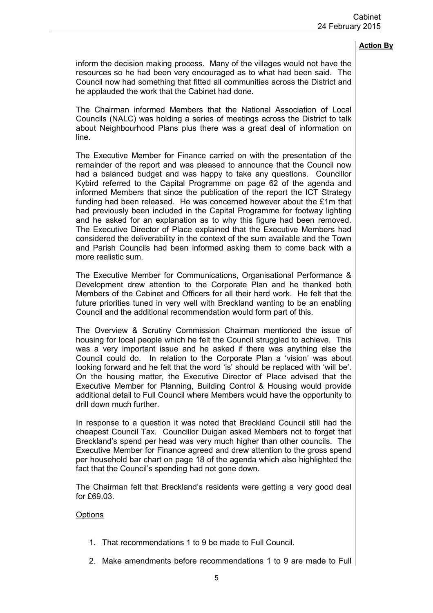inform the decision making process. Many of the villages would not have the resources so he had been very encouraged as to what had been said. The Council now had something that fitted all communities across the District and he applauded the work that the Cabinet had done.

The Chairman informed Members that the National Association of Local Councils (NALC) was holding a series of meetings across the District to talk about Neighbourhood Plans plus there was a great deal of information on line.

The Executive Member for Finance carried on with the presentation of the remainder of the report and was pleased to announce that the Council now had a balanced budget and was happy to take any questions. Councillor Kybird referred to the Capital Programme on page 62 of the agenda and informed Members that since the publication of the report the ICT Strategy funding had been released. He was concerned however about the £1m that had previously been included in the Capital Programme for footway lighting and he asked for an explanation as to why this figure had been removed. The Executive Director of Place explained that the Executive Members had considered the deliverability in the context of the sum available and the Town and Parish Councils had been informed asking them to come back with a more realistic sum.

The Executive Member for Communications, Organisational Performance & Development drew attention to the Corporate Plan and he thanked both Members of the Cabinet and Officers for all their hard work. He felt that the future priorities tuned in very well with Breckland wanting to be an enabling Council and the additional recommendation would form part of this.

The Overview & Scrutiny Commission Chairman mentioned the issue of housing for local people which he felt the Council struggled to achieve. This was a very important issue and he asked if there was anything else the Council could do. In relation to the Corporate Plan a 'vision' was about looking forward and he felt that the word 'is' should be replaced with 'will be'. On the housing matter, the Executive Director of Place advised that the Executive Member for Planning, Building Control & Housing would provide additional detail to Full Council where Members would have the opportunity to drill down much further.

In response to a question it was noted that Breckland Council still had the cheapest Council Tax. Councillor Duigan asked Members not to forget that Breckland's spend per head was very much higher than other councils. The Executive Member for Finance agreed and drew attention to the gross spend per household bar chart on page 18 of the agenda which also highlighted the fact that the Council's spending had not gone down.

The Chairman felt that Breckland's residents were getting a very good deal for £69.03.

#### **Options**

- 1. That recommendations 1 to 9 be made to Full Council.
- 2. Make amendments before recommendations 1 to 9 are made to Full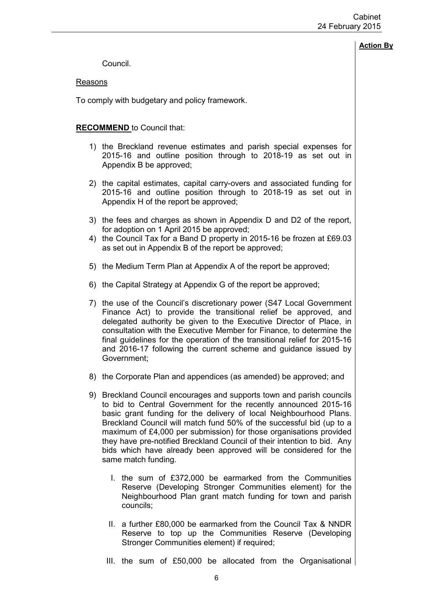Council.

### Reasons

To comply with budgetary and policy framework.

# **RECOMMEND** to Council that:

- 1) the Breckland revenue estimates and parish special expenses for 2015-16 and outline position through to 2018-19 as set out in Appendix B be approved;
- 2) the capital estimates, capital carry-overs and associated funding for 2015-16 and outline position through to 2018-19 as set out in Appendix H of the report be approved;
- 3) the fees and charges as shown in Appendix D and D2 of the report, for adoption on 1 April 2015 be approved;
- 4) the Council Tax for a Band D property in 2015-16 be frozen at £69.03 as set out in Appendix B of the report be approved;
- 5) the Medium Term Plan at Appendix A of the report be approved;
- 6) the Capital Strategy at Appendix G of the report be approved;
- 7) the use of the Council's discretionary power (S47 Local Government Finance Act) to provide the transitional relief be approved, and delegated authority be given to the Executive Director of Place, in consultation with the Executive Member for Finance, to determine the final guidelines for the operation of the transitional relief for 2015-16 and 2016-17 following the current scheme and guidance issued by Government;
- 8) the Corporate Plan and appendices (as amended) be approved; and
- 9) Breckland Council encourages and supports town and parish councils to bid to Central Government for the recently announced 2015-16 basic grant funding for the delivery of local Neighbourhood Plans. Breckland Council will match fund 50% of the successful bid (up to a maximum of £4,000 per submission) for those organisations provided they have pre-notified Breckland Council of their intention to bid. Any bids which have already been approved will be considered for the same match funding.
	- I. the sum of £372,000 be earmarked from the Communities Reserve (Developing Stronger Communities element) for the Neighbourhood Plan grant match funding for town and parish councils;
	- II. a further £80,000 be earmarked from the Council Tax & NNDR Reserve to top up the Communities Reserve (Developing Stronger Communities element) if required;
	- III. the sum of £50,000 be allocated from the Organisational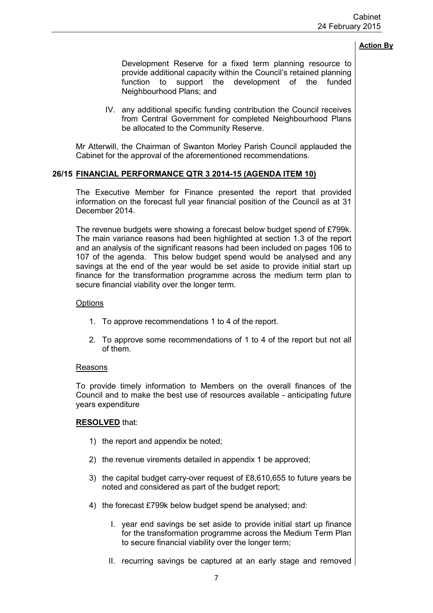Development Reserve for a fixed term planning resource to provide additional capacity within the Council's retained planning function to support the development of the funded Neighbourhood Plans; and

IV. any additional specific funding contribution the Council receives from Central Government for completed Neighbourhood Plans be allocated to the Community Reserve.

Mr Atterwill, the Chairman of Swanton Morley Parish Council applauded the Cabinet for the approval of the aforementioned recommendations.

# **26/15 FINANCIAL PERFORMANCE QTR 3 2014-15 (AGENDA ITEM 10)**

 The Executive Member for Finance presented the report that provided information on the forecast full year financial position of the Council as at 31 December 2014.

The revenue budgets were showing a forecast below budget spend of £799k. The main variance reasons had been highlighted at section 1.3 of the report and an analysis of the significant reasons had been included on pages 106 to 107 of the agenda. This below budget spend would be analysed and any savings at the end of the year would be set aside to provide initial start up finance for the transformation programme across the medium term plan to secure financial viability over the longer term.

### **Options**

- 1. To approve recommendations 1 to 4 of the report.
- 2. To approve some recommendations of 1 to 4 of the report but not all of them.

#### Reasons

To provide timely information to Members on the overall finances of the Council and to make the best use of resources available - anticipating future years expenditure

# **RESOLVED** that:

- 1) the report and appendix be noted;
- 2) the revenue virements detailed in appendix 1 be approved;
- 3) the capital budget carry-over request of £8,610,655 to future years be noted and considered as part of the budget report;
- 4) the forecast £799k below budget spend be analysed; and:
	- I. year end savings be set aside to provide initial start up finance for the transformation programme across the Medium Term Plan to secure financial viability over the longer term;
	- II. recurring savings be captured at an early stage and removed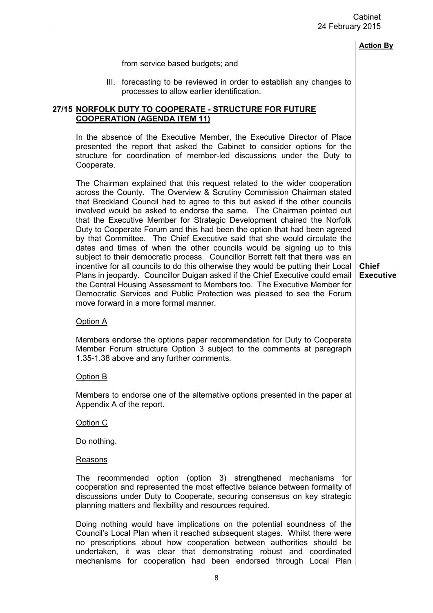|                                                                                                                                                                                                                                                                                                                                                                                                                                                                                                                                                                                                                                                                                                                                                                                                                                                                                                                                                                                                                                                                                | <b>Action By</b>                 |
|--------------------------------------------------------------------------------------------------------------------------------------------------------------------------------------------------------------------------------------------------------------------------------------------------------------------------------------------------------------------------------------------------------------------------------------------------------------------------------------------------------------------------------------------------------------------------------------------------------------------------------------------------------------------------------------------------------------------------------------------------------------------------------------------------------------------------------------------------------------------------------------------------------------------------------------------------------------------------------------------------------------------------------------------------------------------------------|----------------------------------|
| from service based budgets; and                                                                                                                                                                                                                                                                                                                                                                                                                                                                                                                                                                                                                                                                                                                                                                                                                                                                                                                                                                                                                                                |                                  |
| III. forecasting to be reviewed in order to establish any changes to<br>processes to allow earlier identification.                                                                                                                                                                                                                                                                                                                                                                                                                                                                                                                                                                                                                                                                                                                                                                                                                                                                                                                                                             |                                  |
| <u>27/15 NORFOLK DUTY TO COOPERATE - STRUCTURE FOR FUTURE</u><br><b>COOPERATION (AGENDA ITEM 11)</b>                                                                                                                                                                                                                                                                                                                                                                                                                                                                                                                                                                                                                                                                                                                                                                                                                                                                                                                                                                           |                                  |
| In the absence of the Executive Member, the Executive Director of Place<br>presented the report that asked the Cabinet to consider options for the<br>structure for coordination of member-led discussions under the Duty to<br>Cooperate.                                                                                                                                                                                                                                                                                                                                                                                                                                                                                                                                                                                                                                                                                                                                                                                                                                     |                                  |
| The Chairman explained that this request related to the wider cooperation<br>across the County. The Overview & Scrutiny Commission Chairman stated<br>that Breckland Council had to agree to this but asked if the other councils<br>involved would be asked to endorse the same. The Chairman pointed out<br>that the Executive Member for Strategic Development chaired the Norfolk<br>Duty to Cooperate Forum and this had been the option that had been agreed<br>by that Committee. The Chief Executive said that she would circulate the<br>dates and times of when the other councils would be signing up to this<br>subject to their democratic process. Councillor Borrett felt that there was an<br>incentive for all councils to do this otherwise they would be putting their Local<br>Plans in jeopardy. Councillor Duigan asked if the Chief Executive could email<br>the Central Housing Assessment to Members too. The Executive Member for<br>Democratic Services and Public Protection was pleased to see the Forum<br>move forward in a more formal manner. | <b>Chief</b><br><b>Executive</b> |
| Option A                                                                                                                                                                                                                                                                                                                                                                                                                                                                                                                                                                                                                                                                                                                                                                                                                                                                                                                                                                                                                                                                       |                                  |
| Members endorse the options paper recommendation for Duty to Cooperate<br>Member Forum structure Option 3 subject to the comments at paragraph<br>1.35-1.38 above and any further comments.                                                                                                                                                                                                                                                                                                                                                                                                                                                                                                                                                                                                                                                                                                                                                                                                                                                                                    |                                  |
| Option B                                                                                                                                                                                                                                                                                                                                                                                                                                                                                                                                                                                                                                                                                                                                                                                                                                                                                                                                                                                                                                                                       |                                  |
| Members to endorse one of the alternative options presented in the paper at<br>Appendix A of the report.                                                                                                                                                                                                                                                                                                                                                                                                                                                                                                                                                                                                                                                                                                                                                                                                                                                                                                                                                                       |                                  |
| Option C                                                                                                                                                                                                                                                                                                                                                                                                                                                                                                                                                                                                                                                                                                                                                                                                                                                                                                                                                                                                                                                                       |                                  |
| Do nothing.                                                                                                                                                                                                                                                                                                                                                                                                                                                                                                                                                                                                                                                                                                                                                                                                                                                                                                                                                                                                                                                                    |                                  |
| <b>Reasons</b>                                                                                                                                                                                                                                                                                                                                                                                                                                                                                                                                                                                                                                                                                                                                                                                                                                                                                                                                                                                                                                                                 |                                  |
| The recommended option (option 3) strengthened mechanisms for<br>cooperation and represented the most effective balance between formality of<br>discussions under Duty to Cooperate, securing consensus on key strategic<br>planning matters and flexibility and resources required.                                                                                                                                                                                                                                                                                                                                                                                                                                                                                                                                                                                                                                                                                                                                                                                           |                                  |
| Doing nothing would have implications on the potential soundness of the<br>Council's Local Plan when it reached subsequent stages. Whilst there were<br>no prescriptions about how cooperation between authorities should be<br>undertaken, it was clear that demonstrating robust and coordinated<br>mechanisms for cooperation had been endorsed through Local Plan                                                                                                                                                                                                                                                                                                                                                                                                                                                                                                                                                                                                                                                                                                          |                                  |